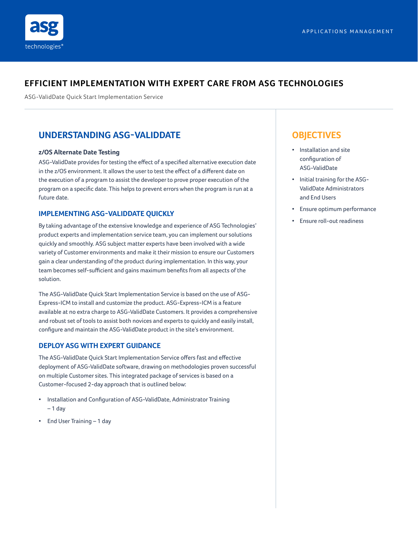## **EFFICIENT IMPLEMENTATION WITH EXPERT CARE FROM ASG TECHNOLOGIES**

ASG-ValidDate Quick Start Implementation Service

# **UNDERSTANDING ASG-VALIDDATE**

#### **z/OS Alternate Date Testing**

ASG-ValidDate provides for testing the effect of a specified alternative execution date in the z/OS environment. It allows the user to test the effect of a different date on the execution of a program to assist the developer to prove proper execution of the program on a specific date. This helps to prevent errors when the program is run at a future date.

## **IMPLEMENTING ASG-VALIDDATE QUICKLY**

By taking advantage of the extensive knowledge and experience of ASG Technologies' product experts and implementation service team, you can implement our solutions quickly and smoothly. ASG subject matter experts have been involved with a wide variety of Customer environments and make it their mission to ensure our Customers gain a clear understanding of the product during implementation. In this way, your team becomes self-sufficient and gains maximum benefits from all aspects of the solution.

The ASG-ValidDate Quick Start Implementation Service is based on the use of ASG-Express-ICM to install and customize the product. ASG-Express-ICM is a feature available at no extra charge to ASG-ValidDate Customers. It provides a comprehensive and robust set of tools to assist both novices and experts to quickly and easily install, configure and maintain the ASG-ValidDate product in the site's environment.

## **DEPLOY ASG WITH EXPERT GUIDANCE**

The ASG-ValidDate Quick Start Implementation Service offers fast and effective deployment of ASG-ValidDate software, drawing on methodologies proven successful on multiple Customer sites. This integrated package of services is based on a Customer-focused 2-day approach that is outlined below:

- Installation and Configuration of ASG-ValidDate, Administrator Training – 1 day
- End User Training 1 day

# **OBJECTIVES**

- Installation and site configuration of ASG-ValidDate
- Initial training for the ASG-ValidDate Administrators and End Users
- Ensure optimum performance
- Ensure roll-out readiness